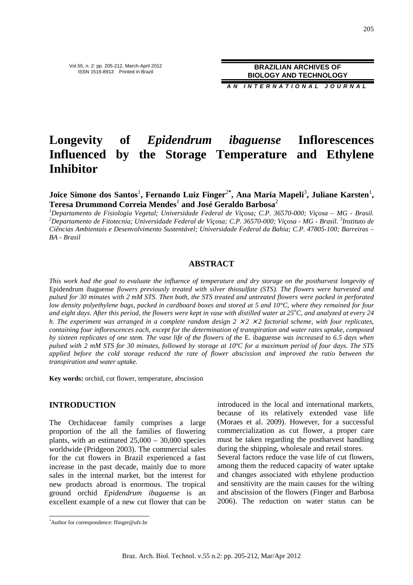Vol.55, n. 2: pp. 205-212, March-April 2012 ISSN 1516-8913 Printed in Brazil

**BRAZILIAN ARCHIVES OF BIOLOGY AND TECHNOLOGY**

**A N I N T E R N A T I O N A L J O U R N A L**

# **Longevity of** *Epidendrum ibaguense* **Inflorescences Influenced by the Storage Temperature and Ethylene Inhibitor**

**Joice Simone dos Santos<sup>1</sup>, Fernando Luiz Finger<sup>2\*</sup>, Ana Maria Mapeli<sup>3</sup>, Juliane Karsten<sup>1</sup>, Teresa Drummond Correia Mendes**<sup>1</sup>  **and José Geraldo Barbosa**<sup>2</sup>

*<sup>1</sup>Departamento de Fisiologia Vegetal; Universidade Federal de Viçosa; C.P. 36570-000; Viçosa – MG - Brasil. <sup>2</sup>Departamento de Fitotecnia; Universidade Federal de Viçosa; C.P. 36570-000; Viçosa - MG - Brasil. <sup>3</sup> Instituto de Ciências Ambientais e Desenvolvimento Sustentável; Universidade Federal da Bahia; C.P. 47805-100; Barreiras – BA - Brasil* 

### **ABSTRACT**

*This work had the goal to evaluate the influence of temperature and dry storage on the postharvest longevity of*  Epidendrum ibaguense *flowers previously treated with silver thiosulfate (STS). The flowers were harvested and pulsed for 30 minutes with 2 mM STS. Then both, the STS treated and untreated flowers were packed in perforated low density polyethylene bags, packed in cardboard boxes and stored at 5 and 10°C, where they remained for four and eight days. After this period, the flowers were kept in vase with distilled water at 25<sup>o</sup>C, and analyzed at every 24 h. The experiment was arranged in a complete random design*  $2 \times 2 \times 2$  *factorial scheme, with four replicates, containing four inflorescences each, except for the determination of transpiration and water rates uptake, composed by sixteen replicates of one stem. The vase life of the flowers of the* E. ibaguense *was increased to 6.5 days when pulsed with 2 mM STS for 30 minutes, followed by storage at 10ºC for a maximum period of four days. The STS applied before the cold storage reduced the rate of flower abscission and improved the ratio between the transpiration and water uptake.* 

**Key words:** orchid, cut flower, temperature, abscission

#### **INTRODUCTION**

The Orchidaceae family comprises a large proportion of the all the families of flowering plants, with an estimated  $25,000 - 30,000$  species worldwide (Pridgeon 2003). The commercial sales for the cut flowers in Brazil experienced a fast increase in the past decade, mainly due to more sales in the internal market, but the interest for new products abroad is enormous. The tropical ground orchid *Epidendrum ibaguense* is an excellent example of a new cut flower that can be introduced in the local and international markets, because of its relatively extended vase life (Moraes et al. 2009). However, for a successful commercialization as cut flower, a proper care must be taken regarding the postharvest handling during the shipping, wholesale and retail stores. Several factors reduce the vase life of cut flowers, among them the reduced capacity of water uptake and changes associated with ethylene production and sensitivity are the main causes for the wilting and abscission of the flowers (Finger and Barbosa 2006). The reduction on water status can be

 $\overline{a}$ 

<sup>\*</sup>Author for correspondence: ffinger@ufv.br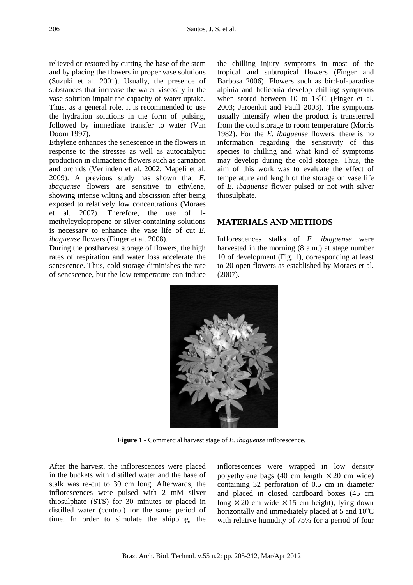relieved or restored by cutting the base of the stem and by placing the flowers in proper vase solutions (Suzuki et al. 2001). Usually, the presence of substances that increase the water viscosity in the vase solution impair the capacity of water uptake. Thus, as a general role, it is recommended to use the hydration solutions in the form of pulsing, followed by immediate transfer to water (Van Doorn 1997).

Ethylene enhances the senescence in the flowers in response to the stresses as well as autocatalytic production in climacteric flowers such as carnation and orchids (Verlinden et al. 2002; Mapeli et al. 2009). A previous study has shown that *E. ibaguense* flowers are sensitive to ethylene, showing intense wilting and abscission after being exposed to relatively low concentrations (Moraes et al. 2007). Therefore, the use of 1 methylcyclopropene or silver-containing solutions is necessary to enhance the vase life of cut *E. ibaguense* flowers (Finger et al. 2008).

During the postharvest storage of flowers, the high rates of respiration and water loss accelerate the senescence. Thus, cold storage diminishes the rate of senescence, but the low temperature can induce the chilling injury symptoms in most of the tropical and subtropical flowers (Finger and Barbosa 2006). Flowers such as bird-of-paradise alpinia and heliconia develop chilling symptoms when stored between 10 to  $13^{\circ}$ C (Finger et al. 2003; Jaroenkit and Paull 2003). The symptoms usually intensify when the product is transferred from the cold storage to room temperature (Morris 1982). For the *E. ibaguense* flowers, there is no information regarding the sensitivity of this species to chilling and what kind of symptoms may develop during the cold storage. Thus, the aim of this work was to evaluate the effect of temperature and length of the storage on vase life of *E. ibaguense* flower pulsed or not with silver thiosulphate.

## **MATERIALS AND METHODS**

Inflorescences stalks of *E. ibaguense* were harvested in the morning (8 a.m.) at stage number 10 of development (Fig. 1), corresponding at least to 20 open flowers as established by Moraes et al. (2007).

**Figure 1 -** Commercial harvest stage of *E. ibaguense* inflorescence.

After the harvest, the inflorescences were placed in the buckets with distilled water and the base of stalk was re-cut to 30 cm long. Afterwards, the inflorescences were pulsed with 2 mM silver thiosulphate (STS) for 30 minutes or placed in distilled water (control) for the same period of time. In order to simulate the shipping, the inflorescences were wrapped in low density polyethylene bags (40 cm length  $\times$  20 cm wide) containing 32 perforation of 0.5 cm in diameter and placed in closed cardboard boxes (45 cm long  $\times$  20 cm wide  $\times$  15 cm height), lying down horizontally and immediately placed at  $5$  and  $10^{\circ}$ C with relative humidity of 75% for a period of four

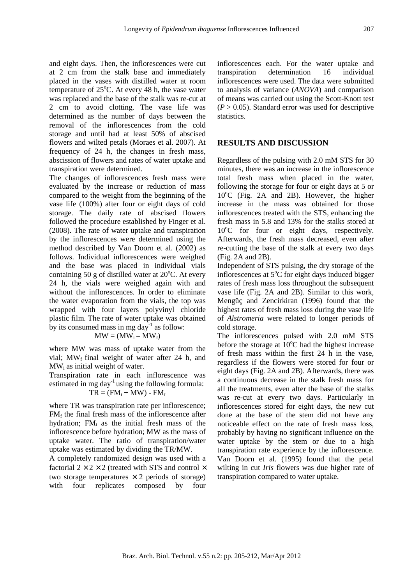and eight days. Then, the inflorescences were cut at 2 cm from the stalk base and immediately placed in the vases with distilled water at room temperature of  $25^{\circ}$ C. At every 48 h, the vase water was replaced and the base of the stalk was re-cut at 2 cm to avoid clotting. The vase life was determined as the number of days between the removal of the inflorescences from the cold storage and until had at least 50% of abscised flowers and wilted petals (Moraes et al. 2007). At frequency of 24 h, the changes in fresh mass, abscission of flowers and rates of water uptake and transpiration were determined.

The changes of inflorescences fresh mass were evaluated by the increase or reduction of mass compared to the weight from the beginning of the vase life (100%) after four or eight days of cold storage. The daily rate of abscised flowers followed the procedure established by Finger et al. (2008). The rate of water uptake and transpiration by the inflorescences were determined using the method described by Van Doorn et al. (2002) as follows. Individual inflorescences were weighed and the base was placed in individual vials containing 50 g of distilled water at  $20^{\circ}$ C. At every 24 h, the vials were weighed again with and without the inflorescences. In order to eliminate the water evaporation from the vials, the top was wrapped with four layers polyvinyl chloride plastic film. The rate of water uptake was obtained by its consumed mass in mg day $^{-1}$  as follow:

$$
MW = (MW_i - MW_f)
$$

where MW was mass of uptake water from the vial;  $MW_f$  final weight of water after 24 h, and  $MW_i$  as initial weight of water.

Transpiration rate in each inflorescence was estimated in mg day $^{-1}$  using the following formula:  $TR = (FM<sub>i</sub> + MW) - FM<sub>f</sub>$ 

where TR was transpiration rate per inflorescence;  $FM<sub>f</sub>$  the final fresh mass of the inflorescence after hydration;  $FM_i$  as the initial fresh mass of the inflorescence before hydration; MW as the mass of uptake water. The ratio of transpiration/water uptake was estimated by dividing the TR/MW.

A completely randomized design was used with a factorial  $2 \times 2 \times 2$  (treated with STS and control  $\times$ two storage temperatures  $\times$  2 periods of storage) with four replicates composed by four inflorescences each. For the water uptake and transpiration determination 16 individual inflorescences were used. The data were submitted to analysis of variance (*ANOVA*) and comparison of means was carried out using the Scott-Knott test  $(P > 0.05)$ . Standard error was used for descriptive statistics.

## **RESULTS AND DISCUSSION**

Regardless of the pulsing with 2.0 mM STS for 30 minutes, there was an increase in the inflorescence total fresh mass when placed in the water, following the storage for four or eight days at 5 or  $10^{\circ}$ C (Fig. 2A and 2B). However, the higher increase in the mass was obtained for those inflorescences treated with the STS, enhancing the fresh mass in 5.8 and 13% for the stalks stored at  $10^{\circ}$ C for four or eight days, respectively. Afterwards, the fresh mass decreased, even after re-cutting the base of the stalk at every two days (Fig. 2A and 2B).

Independent of STS pulsing, the dry storage of the inflorescences at  $5^{\circ}$ C for eight days induced bigger rates of fresh mass loss throughout the subsequent vase life (Fig. 2A and 2B). Similar to this work, Mengüç and Zencirkiran (1996) found that the highest rates of fresh mass loss during the vase life of *Alstromeria* were related to longer periods of cold storage.

The inflorescences pulsed with 2.0 mM STS before the storage at  $10^{\circ}$ C had the highest increase of fresh mass within the first 24 h in the vase, regardless if the flowers were stored for four or eight days (Fig. 2A and 2B). Afterwards, there was a continuous decrease in the stalk fresh mass for all the treatments, even after the base of the stalks was re-cut at every two days. Particularly in inflorescences stored for eight days, the new cut done at the base of the stem did not have any noticeable effect on the rate of fresh mass loss, probably by having no significant influence on the water uptake by the stem or due to a high transpiration rate experience by the inflorescence. Van Doorn et al. (1995) found that the petal wilting in cut *Iris* flowers was due higher rate of transpiration compared to water uptake.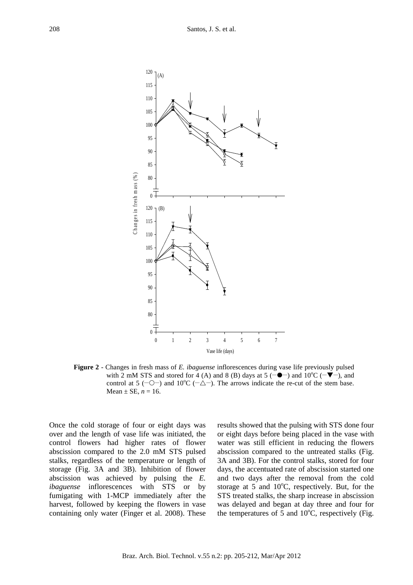

**Figure 2** - Changes in fresh mass of *E. ibaguense* inflorescences during vase life previously pulsed with 2 mM STS and stored for 4 (A) and 8 (B) days at 5 ( $-\bullet$ ) and 10<sup>o</sup>C ( $-\bullet$ ), and control at 5 ( $\sim$  - $\sim$ ) and 10<sup>o</sup>C ( $\sim$   $\Delta$ ). The arrows indicate the re-cut of the stem base. Mean  $\pm$  SE,  $n = 16$ .

Once the cold storage of four or eight days was over and the length of vase life was initiated, the control flowers had higher rates of flower abscission compared to the 2.0 mM STS pulsed stalks, regardless of the temperature or length of storage (Fig. 3A and 3B). Inhibition of flower abscission was achieved by pulsing the *E. ibaguense* inflorescences with STS or by fumigating with 1-MCP immediately after the harvest, followed by keeping the flowers in vase containing only water (Finger et al. 2008). These results showed that the pulsing with STS done four or eight days before being placed in the vase with water was still efficient in reducing the flowers abscission compared to the untreated stalks (Fig. 3A and 3B). For the control stalks, stored for four days, the accentuated rate of abscission started one and two days after the removal from the cold storage at 5 and  $10^{\circ}$ C, respectively. But, for the STS treated stalks, the sharp increase in abscission was delayed and began at day three and four for the temperatures of 5 and  $10^{\circ}$ C, respectively (Fig.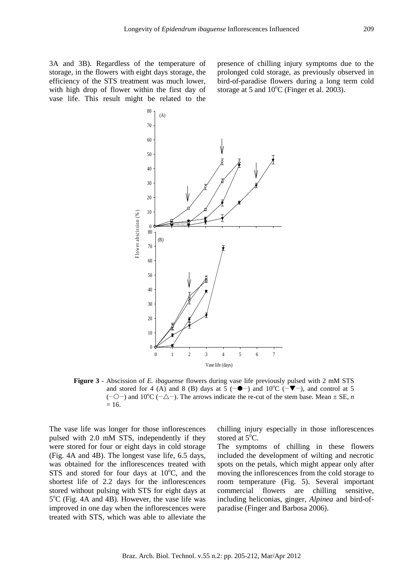presence of chilling injury symptoms due to the prolonged cold storage, as previously observed in bird-of-paradise flowers during a long term cold storage at 5 and  $10^{\circ}$ C (Finger et al. 2003).



**Figure 3** - Abscission of *E. ibaguense* flowers during vase life previously pulsed with 2 mM STS and stored for 4 (A) and 8 (B) days at  $\overline{5}$  ( $-\bullet$ ) and 10<sup>o</sup>C ( $-\overline{\bullet}$ ), and control at 5  $(-\circ)$  and 10<sup>o</sup>C  $(-\triangle-)$ . The arrows indicate the re-cut of the stem base. Mean  $\pm$  SE, *n*  $= 16.$ 

The vase life was longer for those inflorescences pulsed with 2.0 mM STS, independently if they were stored for four or eight days in cold storage (Fig. 4A and 4B). The longest vase life, 6.5 days, was obtained for the inflorescences treated with STS and stored for four days at  $10^{\circ}$ C, and the shortest life of 2.2 days for the inflorescences stored without pulsing with STS for eight days at 5°C (Fig. 4A and 4B). However, the vase life was improved in one day when the inflorescences were treated with STS, which was able to alleviate the

chilling injury especially in those inflorescences stored at  $5^{\circ}$ C.

The symptoms of chilling in these flowers included the development of wilting and necrotic spots on the petals, which might appear only after moving the inflorescences from the cold storage to room temperature (Fig. 5). Several important commercial flowers are chilling sensitive, including heliconias, ginger, *Alpinea* and bird-ofparadise (Finger and Barbosa 2006).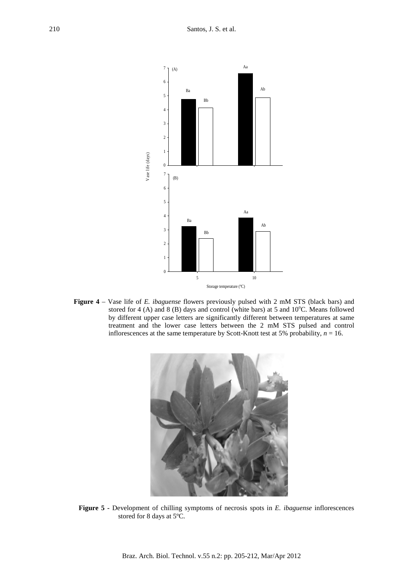

**Figure 4** – Vase life of *E. ibaguense* flowers previously pulsed with 2 mM STS (black bars) and stored for 4 (A) and 8 (B) days and control (white bars) at 5 and  $10^{\circ}$ C. Means followed by different upper case letters are significantly different between temperatures at same treatment and the lower case letters between the 2 mM STS pulsed and control inflorescences at the same temperature by Scott-Knott test at 5% probability, *n* = 16.



**Figure 5 -** Development of chilling symptoms of necrosis spots in *E. ibaguense* inflorescences stored for 8 days at 5ºC.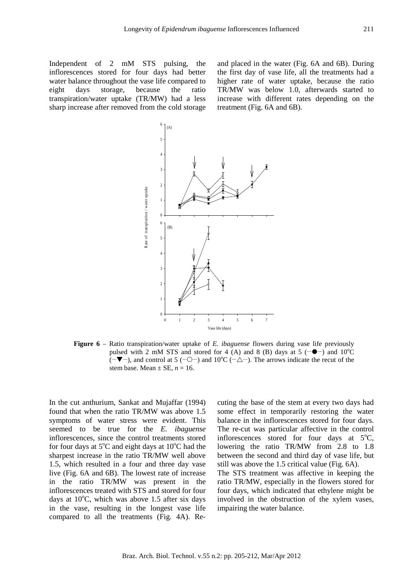Independent of 2 mM STS pulsing, the inflorescences stored for four days had better water balance throughout the vase life compared to eight days storage, because the ratio transpiration/water uptake (TR/MW) had a less sharp increase after removed from the cold storage and placed in the water (Fig. 6A and 6B). During the first day of vase life, all the treatments had a higher rate of water uptake, because the ratio TR/MW was below 1.0, afterwards started to increase with different rates depending on the treatment (Fig. 6A and 6B).



**Figure 6** – Ratio transpiration/water uptake of *E. ibaguense* flowers during vase life previously pulsed with 2 mM STS and stored for 4 (A) and 8 (B) days at 5  $(-\bullet)$  and 10<sup>o</sup>C  $(-\blacktriangledown -)$ , and control at 5 (-0-) and 10<sup>o</sup>C (- $\triangle$ ). The arrows indicate the recut of the stem base. Mean  $\pm$  SE,  $n = 16$ .

In the cut anthurium, Sankat and Mujaffar (1994) found that when the ratio TR/MW was above 1.5 symptoms of water stress were evident. This seemed to be true for the *E. ibaguense* inflorescences, since the control treatments stored for four days at  $5^{\circ}$ C and eight days at  $10^{\circ}$ C had the sharpest increase in the ratio TR/MW well above 1.5, which resulted in a four and three day vase live (Fig. 6A and 6B). The lowest rate of increase in the ratio TR/MW was present in the inflorescences treated with STS and stored for four days at  $10^{\circ}$ C, which was above 1.5 after six days in the vase, resulting in the longest vase life compared to all the treatments (Fig. 4A). Recuting the base of the stem at every two days had some effect in temporarily restoring the water balance in the inflorescences stored for four days. The re-cut was particular affective in the control inflorescences stored for four days at  $5^{\circ}$ C, lowering the ratio TR/MW from 2.8 to 1.8 between the second and third day of vase life, but still was above the 1.5 critical value (Fig. 6A).

The STS treatment was affective in keeping the ratio TR/MW, especially in the flowers stored for four days, which indicated that ethylene might be involved in the obstruction of the xylem vases, impairing the water balance.